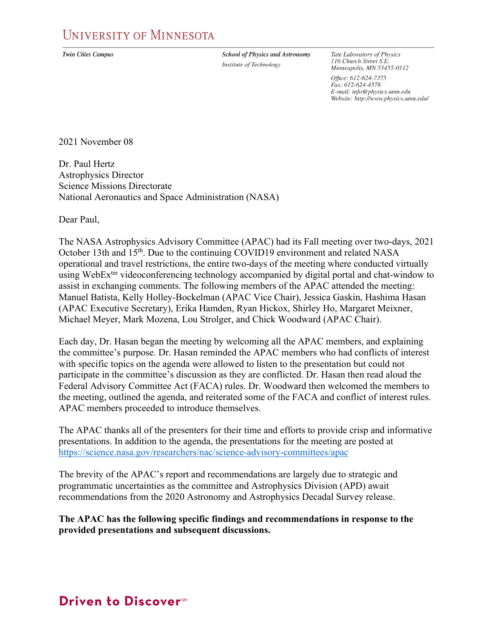**Twin Cities Campus** 

**School of Physics and Astronomy** Institute of Technology

Tate Laboratory of Physics 116 Church Street S.E. Minneapolis, MN 55455-0112

Office: 612-624-7375 Fax: 612-624-4578 E-mail: info@physics.umn.edu Website: http://www.physics.umn.edu/

2021 November 08

Dr. Paul Hertz Astrophysics Director Science Missions Directorate National Aeronautics and Space Administration (NASA)

Dear Paul,

The NASA Astrophysics Advisory Committee (APAC) had its Fall meeting over two-days, 2021 October 13th and 15<sup>th</sup>. Due to the continuing COVID19 environment and related NASA operational and travel restrictions, the entire two-days of the meeting where conducted virtually using WebEx<sup>tm</sup> videoconferencing technology accompanied by digital portal and chat-window to assist in exchanging comments. The following members of the APAC attended the meeting: Manuel Batista, Kelly Holley-Bockelman (APAC Vice Chair), Jessica Gaskin, Hashima Hasan (APAC Executive Secretary), Erika Hamden, Ryan Hickox, Shirley Ho, Margaret Meixner, Michael Meyer, Mark Mozena, Lou Strolger, and Chick Woodward (APAC Chair).

Each day, Dr. Hasan began the meeting by welcoming all the APAC members, and explaining the committee's purpose. Dr. Hasan reminded the APAC members who had conflicts of interest with specific topics on the agenda were allowed to listen to the presentation but could not participate in the committee's discussion as they are conflicted. Dr. Hasan then read aloud the Federal Advisory Committee Act (FACA) rules. Dr. Woodward then welcomed the members to the meeting, outlined the agenda, and reiterated some of the FACA and conflict of interest rules. APAC members proceeded to introduce themselves.

The APAC thanks all of the presenters for their time and efforts to provide crisp and informative presentations. In addition to the agenda, the presentations for the meeting are posted at <https://science.nasa.gov/researchers/nac/science-advisory-committees/apac>

The brevity of the APAC's report and recommendations are largely due to strategic and programmatic uncertainties as the committee and Astrophysics Division (APD) await recommendations from the 2020 Astronomy and Astrophysics Decadal Survey release.

**The APAC has the following specific findings and recommendations in response to the provided presentations and subsequent discussions.**

# Driven to Discover<sup>SM</sup>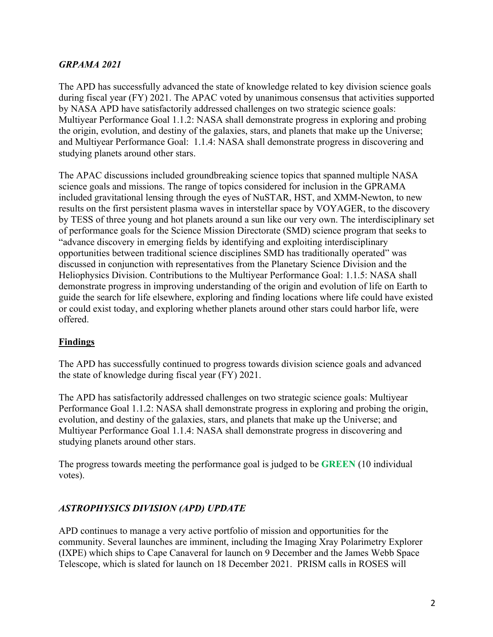# *GRPAMA 2021*

The APD has successfully advanced the state of knowledge related to key division science goals during fiscal year (FY) 2021. The APAC voted by unanimous consensus that activities supported by NASA APD have satisfactorily addressed challenges on two strategic science goals: Multiyear Performance Goal 1.1.2: NASA shall demonstrate progress in exploring and probing the origin, evolution, and destiny of the galaxies, stars, and planets that make up the Universe; and Multiyear Performance Goal: 1.1.4: NASA shall demonstrate progress in discovering and studying planets around other stars.

The APAC discussions included groundbreaking science topics that spanned multiple NASA science goals and missions. The range of topics considered for inclusion in the GPRAMA included gravitational lensing through the eyes of NuSTAR, HST, and XMM-Newton, to new results on the first persistent plasma waves in interstellar space by VOYAGER, to the discovery by TESS of three young and hot planets around a sun like our very own. The interdisciplinary set of performance goals for the Science Mission Directorate (SMD) science program that seeks to "advance discovery in emerging fields by identifying and exploiting interdisciplinary opportunities between traditional science disciplines SMD has traditionally operated" was discussed in conjunction with representatives from the Planetary Science Division and the Heliophysics Division. Contributions to the Multiyear Performance Goal: 1.1.5: NASA shall demonstrate progress in improving understanding of the origin and evolution of life on Earth to guide the search for life elsewhere, exploring and finding locations where life could have existed or could exist today, and exploring whether planets around other stars could harbor life, were offered.

## **Findings**

The APD has successfully continued to progress towards division science goals and advanced the state of knowledge during fiscal year (FY) 2021.

The APD has satisfactorily addressed challenges on two strategic science goals: Multiyear Performance Goal 1.1.2: NASA shall demonstrate progress in exploring and probing the origin, evolution, and destiny of the galaxies, stars, and planets that make up the Universe; and Multiyear Performance Goal 1.1.4: NASA shall demonstrate progress in discovering and studying planets around other stars.

The progress towards meeting the performance goal is judged to be **GREEN** (10 individual votes).

## *ASTROPHYSICS DIVISION (APD) UPDATE*

APD continues to manage a very active portfolio of mission and opportunities for the community. Several launches are imminent, including the Imaging Xray Polarimetry Explorer (IXPE) which ships to Cape Canaveral for launch on 9 December and the James Webb Space Telescope, which is slated for launch on 18 December 2021. PRISM calls in ROSES will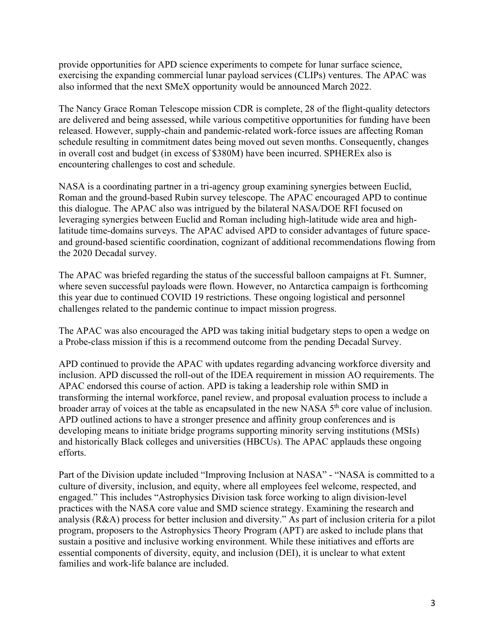provide opportunities for APD science experiments to compete for lunar surface science, exercising the expanding commercial lunar payload services (CLIPs) ventures. The APAC was also informed that the next SMeX opportunity would be announced March 2022.

The Nancy Grace Roman Telescope mission CDR is complete, 28 of the flight-quality detectors are delivered and being assessed, while various competitive opportunities for funding have been released. However, supply-chain and pandemic-related work-force issues are affecting Roman schedule resulting in commitment dates being moved out seven months. Consequently, changes in overall cost and budget (in excess of \$380M) have been incurred. SPHEREx also is encountering challenges to cost and schedule.

NASA is a coordinating partner in a tri-agency group examining synergies between Euclid, Roman and the ground-based Rubin survey telescope. The APAC encouraged APD to continue this dialogue. The APAC also was intrigued by the bilateral NASA/DOE RFI focused on leveraging synergies between Euclid and Roman including high-latitude wide area and highlatitude time-domains surveys. The APAC advised APD to consider advantages of future spaceand ground-based scientific coordination, cognizant of additional recommendations flowing from the 2020 Decadal survey.

The APAC was briefed regarding the status of the successful balloon campaigns at Ft. Sumner, where seven successful payloads were flown. However, no Antarctica campaign is forthcoming this year due to continued COVID 19 restrictions. These ongoing logistical and personnel challenges related to the pandemic continue to impact mission progress.

The APAC was also encouraged the APD was taking initial budgetary steps to open a wedge on a Probe-class mission if this is a recommend outcome from the pending Decadal Survey.

APD continued to provide the APAC with updates regarding advancing workforce diversity and inclusion. APD discussed the roll-out of the IDEA requirement in mission AO requirements. The APAC endorsed this course of action. APD is taking a leadership role within SMD in transforming the internal workforce, panel review, and proposal evaluation process to include a broader array of voices at the table as encapsulated in the new NASA 5<sup>th</sup> core value of inclusion. APD outlined actions to have a stronger presence and affinity group conferences and is developing means to initiate bridge programs supporting minority serving institutions (MSIs) and historically Black colleges and universities (HBCUs). The APAC applauds these ongoing efforts.

Part of the Division update included "Improving Inclusion at NASA" - "NASA is committed to a culture of diversity, inclusion, and equity, where all employees feel welcome, respected, and engaged." This includes "Astrophysics Division task force working to align division-level practices with the NASA core value and SMD science strategy. Examining the research and analysis (R&A) process for better inclusion and diversity." As part of inclusion criteria for a pilot program, proposers to the Astrophysics Theory Program (APT) are asked to include plans that sustain a positive and inclusive working environment. While these initiatives and efforts are essential components of diversity, equity, and inclusion (DEI), it is unclear to what extent families and work-life balance are included.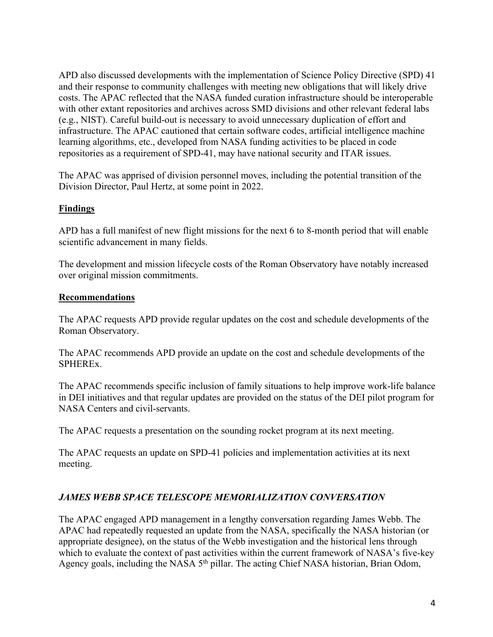APD also discussed developments with the implementation of Science Policy Directive (SPD) 41 and their response to community challenges with meeting new obligations that will likely drive costs. The APAC reflected that the NASA funded curation infrastructure should be interoperable with other extant repositories and archives across SMD divisions and other relevant federal labs (e.g., NIST). Careful build-out is necessary to avoid unnecessary duplication of effort and infrastructure. The APAC cautioned that certain software codes, artificial intelligence machine learning algorithms, etc., developed from NASA funding activities to be placed in code repositories as a requirement of SPD-41, may have national security and ITAR issues.

The APAC was apprised of division personnel moves, including the potential transition of the Division Director, Paul Hertz, at some point in 2022.

## **Findings**

APD has a full manifest of new flight missions for the next 6 to 8-month period that will enable scientific advancement in many fields.

The development and mission lifecycle costs of the Roman Observatory have notably increased over original mission commitments.

## **Recommendations**

The APAC requests APD provide regular updates on the cost and schedule developments of the Roman Observatory.

The APAC recommends APD provide an update on the cost and schedule developments of the SPHEREx.

The APAC recommends specific inclusion of family situations to help improve work-life balance in DEI initiatives and that regular updates are provided on the status of the DEI pilot program for NASA Centers and civil-servants.

The APAC requests a presentation on the sounding rocket program at its next meeting.

The APAC requests an update on SPD-41 policies and implementation activities at its next meeting.

# *JAMES WEBB SPACE TELESCOPE MEMORIALIZATION CONVERSATION*

The APAC engaged APD management in a lengthy conversation regarding James Webb. The APAC had repeatedly requested an update from the NASA, specifically the NASA historian (or appropriate designee), on the status of the Webb investigation and the historical lens through which to evaluate the context of past activities within the current framework of NASA's five-key Agency goals, including the NASA 5<sup>th</sup> pillar. The acting Chief NASA historian, Brian Odom,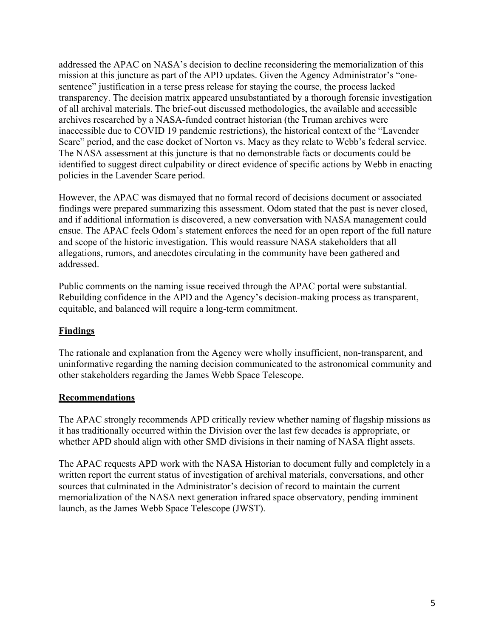addressed the APAC on NASA's decision to decline reconsidering the memorialization of this mission at this juncture as part of the APD updates. Given the Agency Administrator's "onesentence" justification in a terse press release for staying the course, the process lacked transparency. The decision matrix appeared unsubstantiated by a thorough forensic investigation of all archival materials. The brief-out discussed methodologies, the available and accessible archives researched by a NASA-funded contract historian (the Truman archives were inaccessible due to COVID 19 pandemic restrictions), the historical context of the "Lavender Scare" period, and the case docket of Norton vs. Macy as they relate to Webb's federal service. The NASA assessment at this juncture is that no demonstrable facts or documents could be identified to suggest direct culpability or direct evidence of specific actions by Webb in enacting policies in the Lavender Scare period.

However, the APAC was dismayed that no formal record of decisions document or associated findings were prepared summarizing this assessment. Odom stated that the past is never closed, and if additional information is discovered, a new conversation with NASA management could ensue. The APAC feels Odom's statement enforces the need for an open report of the full nature and scope of the historic investigation. This would reassure NASA stakeholders that all allegations, rumors, and anecdotes circulating in the community have been gathered and addressed.

Public comments on the naming issue received through the APAC portal were substantial. Rebuilding confidence in the APD and the Agency's decision-making process as transparent, equitable, and balanced will require a long-term commitment.

## **Findings**

The rationale and explanation from the Agency were wholly insufficient, non-transparent, and uninformative regarding the naming decision communicated to the astronomical community and other stakeholders regarding the James Webb Space Telescope.

# **Recommendations**

The APAC strongly recommends APD critically review whether naming of flagship missions as it has traditionally occurred within the Division over the last few decades is appropriate, or whether APD should align with other SMD divisions in their naming of NASA flight assets.

The APAC requests APD work with the NASA Historian to document fully and completely in a written report the current status of investigation of archival materials, conversations, and other sources that culminated in the Administrator's decision of record to maintain the current memorialization of the NASA next generation infrared space observatory, pending imminent launch, as the James Webb Space Telescope (JWST).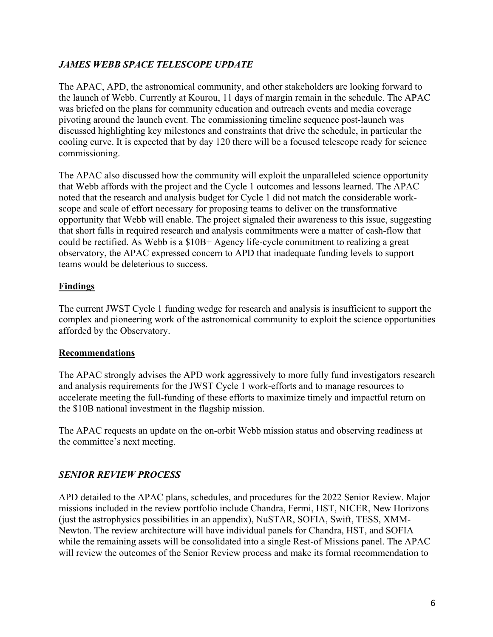# *JAMES WEBB SPACE TELESCOPE UPDATE*

The APAC, APD, the astronomical community, and other stakeholders are looking forward to the launch of Webb. Currently at Kourou, 11 days of margin remain in the schedule. The APAC was briefed on the plans for community education and outreach events and media coverage pivoting around the launch event. The commissioning timeline sequence post-launch was discussed highlighting key milestones and constraints that drive the schedule, in particular the cooling curve. It is expected that by day 120 there will be a focused telescope ready for science commissioning.

The APAC also discussed how the community will exploit the unparalleled science opportunity that Webb affords with the project and the Cycle 1 outcomes and lessons learned. The APAC noted that the research and analysis budget for Cycle 1 did not match the considerable workscope and scale of effort necessary for proposing teams to deliver on the transformative opportunity that Webb will enable. The project signaled their awareness to this issue, suggesting that short falls in required research and analysis commitments were a matter of cash-flow that could be rectified. As Webb is a \$10B+ Agency life-cycle commitment to realizing a great observatory, the APAC expressed concern to APD that inadequate funding levels to support teams would be deleterious to success.

# **Findings**

The current JWST Cycle 1 funding wedge for research and analysis is insufficient to support the complex and pioneering work of the astronomical community to exploit the science opportunities afforded by the Observatory.

## **Recommendations**

The APAC strongly advises the APD work aggressively to more fully fund investigators research and analysis requirements for the JWST Cycle 1 work-efforts and to manage resources to accelerate meeting the full-funding of these efforts to maximize timely and impactful return on the \$10B national investment in the flagship mission.

The APAC requests an update on the on-orbit Webb mission status and observing readiness at the committee's next meeting.

# *SENIOR REVIEW PROCESS*

APD detailed to the APAC plans, schedules, and procedures for the 2022 Senior Review. Major missions included in the review portfolio include Chandra, Fermi, HST, NICER, New Horizons (just the astrophysics possibilities in an appendix), NuSTAR, SOFIA, Swift, TESS, XMM-Newton. The review architecture will have individual panels for Chandra, HST, and SOFIA while the remaining assets will be consolidated into a single Rest-of Missions panel. The APAC will review the outcomes of the Senior Review process and make its formal recommendation to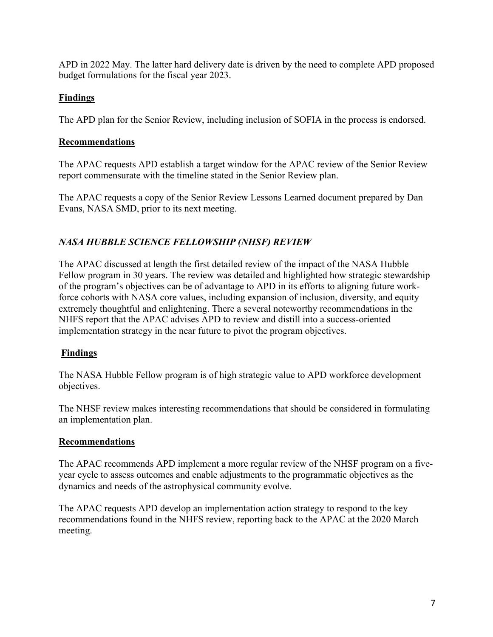APD in 2022 May. The latter hard delivery date is driven by the need to complete APD proposed budget formulations for the fiscal year 2023.

# **Findings**

The APD plan for the Senior Review, including inclusion of SOFIA in the process is endorsed.

# **Recommendations**

The APAC requests APD establish a target window for the APAC review of the Senior Review report commensurate with the timeline stated in the Senior Review plan.

The APAC requests a copy of the Senior Review Lessons Learned document prepared by Dan Evans, NASA SMD, prior to its next meeting.

# *NASA HUBBLE SCIENCE FELLOWSHIP (NHSF) REVIEW*

The APAC discussed at length the first detailed review of the impact of the NASA Hubble Fellow program in 30 years. The review was detailed and highlighted how strategic stewardship of the program's objectives can be of advantage to APD in its efforts to aligning future workforce cohorts with NASA core values, including expansion of inclusion, diversity, and equity extremely thoughtful and enlightening. There a several noteworthy recommendations in the NHFS report that the APAC advises APD to review and distill into a success-oriented implementation strategy in the near future to pivot the program objectives.

# **Findings**

The NASA Hubble Fellow program is of high strategic value to APD workforce development objectives.

The NHSF review makes interesting recommendations that should be considered in formulating an implementation plan.

# **Recommendations**

The APAC recommends APD implement a more regular review of the NHSF program on a fiveyear cycle to assess outcomes and enable adjustments to the programmatic objectives as the dynamics and needs of the astrophysical community evolve.

The APAC requests APD develop an implementation action strategy to respond to the key recommendations found in the NHFS review, reporting back to the APAC at the 2020 March meeting.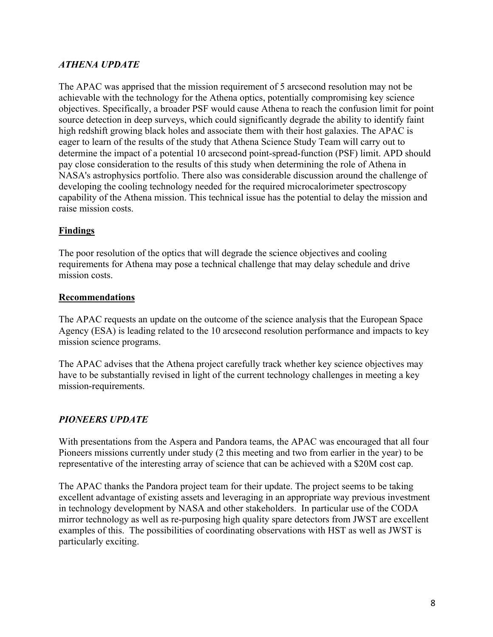# *ATHENA UPDATE*

The APAC was apprised that the mission requirement of 5 arcsecond resolution may not be achievable with the technology for the Athena optics, potentially compromising key science objectives. Specifically, a broader PSF would cause Athena to reach the confusion limit for point source detection in deep surveys, which could significantly degrade the ability to identify faint high redshift growing black holes and associate them with their host galaxies. The APAC is eager to learn of the results of the study that Athena Science Study Team will carry out to determine the impact of a potential 10 arcsecond point-spread-function (PSF) limit. APD should pay close consideration to the results of this study when determining the role of Athena in NASA's astrophysics portfolio. There also was considerable discussion around the challenge of developing the cooling technology needed for the required microcalorimeter spectroscopy capability of the Athena mission. This technical issue has the potential to delay the mission and raise mission costs.

#### **Findings**

The poor resolution of the optics that will degrade the science objectives and cooling requirements for Athena may pose a technical challenge that may delay schedule and drive mission costs.

#### **Recommendations**

The APAC requests an update on the outcome of the science analysis that the European Space Agency (ESA) is leading related to the 10 arcsecond resolution performance and impacts to key mission science programs.

The APAC advises that the Athena project carefully track whether key science objectives may have to be substantially revised in light of the current technology challenges in meeting a key mission-requirements.

## *PIONEERS UPDATE*

With presentations from the Aspera and Pandora teams, the APAC was encouraged that all four Pioneers missions currently under study (2 this meeting and two from earlier in the year) to be representative of the interesting array of science that can be achieved with a \$20M cost cap.

The APAC thanks the Pandora project team for their update. The project seems to be taking excellent advantage of existing assets and leveraging in an appropriate way previous investment in technology development by NASA and other stakeholders. In particular use of the CODA mirror technology as well as re-purposing high quality spare detectors from JWST are excellent examples of this. The possibilities of coordinating observations with HST as well as JWST is particularly exciting.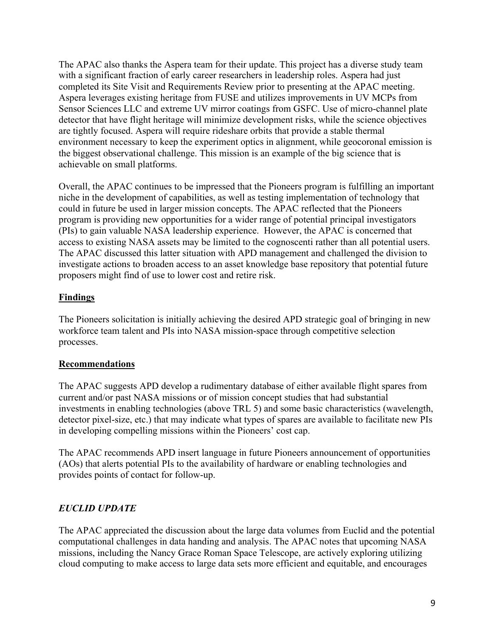The APAC also thanks the Aspera team for their update. This project has a diverse study team with a significant fraction of early career researchers in leadership roles. Aspera had just completed its Site Visit and Requirements Review prior to presenting at the APAC meeting. Aspera leverages existing heritage from FUSE and utilizes improvements in UV MCPs from Sensor Sciences LLC and extreme UV mirror coatings from GSFC. Use of micro-channel plate detector that have flight heritage will minimize development risks, while the science objectives are tightly focused. Aspera will require rideshare orbits that provide a stable thermal environment necessary to keep the experiment optics in alignment, while geocoronal emission is the biggest observational challenge. This mission is an example of the big science that is achievable on small platforms.

Overall, the APAC continues to be impressed that the Pioneers program is fulfilling an important niche in the development of capabilities, as well as testing implementation of technology that could in future be used in larger mission concepts. The APAC reflected that the Pioneers program is providing new opportunities for a wider range of potential principal investigators (PIs) to gain valuable NASA leadership experience. However, the APAC is concerned that access to existing NASA assets may be limited to the cognoscenti rather than all potential users. The APAC discussed this latter situation with APD management and challenged the division to investigate actions to broaden access to an asset knowledge base repository that potential future proposers might find of use to lower cost and retire risk.

# **Findings**

The Pioneers solicitation is initially achieving the desired APD strategic goal of bringing in new workforce team talent and PIs into NASA mission-space through competitive selection processes.

## **Recommendations**

The APAC suggests APD develop a rudimentary database of either available flight spares from current and/or past NASA missions or of mission concept studies that had substantial investments in enabling technologies (above TRL 5) and some basic characteristics (wavelength, detector pixel-size, etc.) that may indicate what types of spares are available to facilitate new PIs in developing compelling missions within the Pioneers' cost cap.

The APAC recommends APD insert language in future Pioneers announcement of opportunities (AOs) that alerts potential PIs to the availability of hardware or enabling technologies and provides points of contact for follow-up.

# *EUCLID UPDATE*

The APAC appreciated the discussion about the large data volumes from Euclid and the potential computational challenges in data handing and analysis. The APAC notes that upcoming NASA missions, including the Nancy Grace Roman Space Telescope, are actively exploring utilizing cloud computing to make access to large data sets more efficient and equitable, and encourages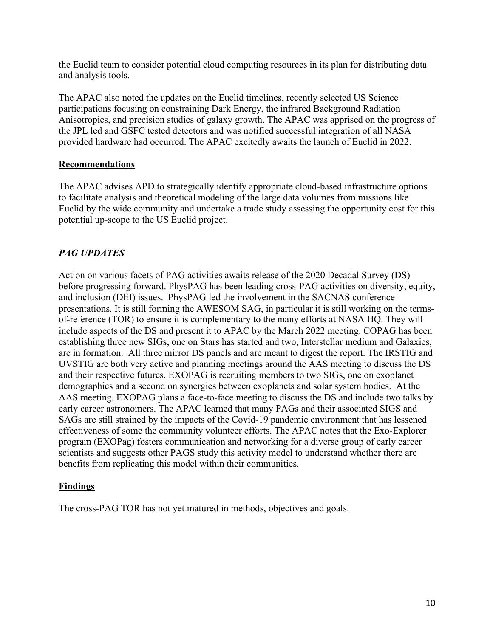the Euclid team to consider potential cloud computing resources in its plan for distributing data and analysis tools.

The APAC also noted the updates on the Euclid timelines, recently selected US Science participations focusing on constraining Dark Energy, the infrared Background Radiation Anisotropies, and precision studies of galaxy growth. The APAC was apprised on the progress of the JPL led and GSFC tested detectors and was notified successful integration of all NASA provided hardware had occurred. The APAC excitedly awaits the launch of Euclid in 2022.

## **Recommendations**

The APAC advises APD to strategically identify appropriate cloud-based infrastructure options to facilitate analysis and theoretical modeling of the large data volumes from missions like Euclid by the wide community and undertake a trade study assessing the opportunity cost for this potential up-scope to the US Euclid project.

# *PAG UPDATES*

Action on various facets of PAG activities awaits release of the 2020 Decadal Survey (DS) before progressing forward. PhysPAG has been leading cross-PAG activities on diversity, equity, and inclusion (DEI) issues. PhysPAG led the involvement in the SACNAS conference presentations. It is still forming the AWESOM SAG, in particular it is still working on the termsof-reference (TOR) to ensure it is complementary to the many efforts at NASA HQ. They will include aspects of the DS and present it to APAC by the March 2022 meeting. COPAG has been establishing three new SIGs, one on Stars has started and two, Interstellar medium and Galaxies, are in formation. All three mirror DS panels and are meant to digest the report. The IRSTIG and UVSTIG are both very active and planning meetings around the AAS meeting to discuss the DS and their respective futures. EXOPAG is recruiting members to two SIGs, one on exoplanet demographics and a second on synergies between exoplanets and solar system bodies. At the AAS meeting, EXOPAG plans a face-to-face meeting to discuss the DS and include two talks by early career astronomers. The APAC learned that many PAGs and their associated SIGS and SAGs are still strained by the impacts of the Covid-19 pandemic environment that has lessened effectiveness of some the community volunteer efforts. The APAC notes that the Exo-Explorer program (EXOPag) fosters communication and networking for a diverse group of early career scientists and suggests other PAGS study this activity model to understand whether there are benefits from replicating this model within their communities.

## **Findings**

The cross-PAG TOR has not yet matured in methods, objectives and goals.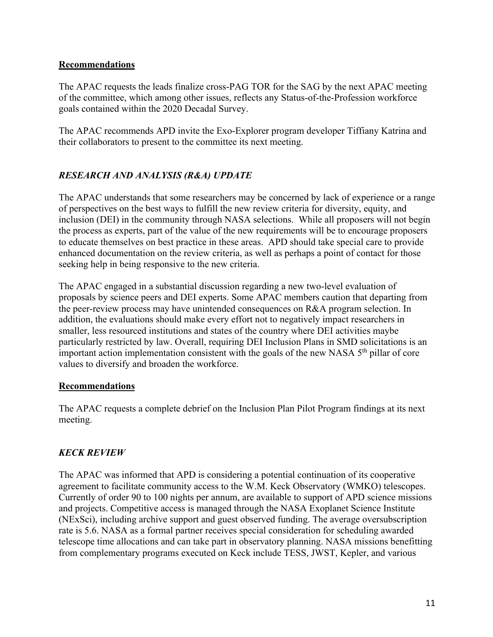## **Recommendations**

The APAC requests the leads finalize cross-PAG TOR for the SAG by the next APAC meeting of the committee, which among other issues, reflects any Status-of-the-Profession workforce goals contained within the 2020 Decadal Survey.

The APAC recommends APD invite the Exo-Explorer program developer Tiffiany Katrina and their collaborators to present to the committee its next meeting.

# *RESEARCH AND ANALYSIS (R&A) UPDATE*

The APAC understands that some researchers may be concerned by lack of experience or a range of perspectives on the best ways to fulfill the new review criteria for diversity, equity, and inclusion (DEI) in the community through NASA selections. While all proposers will not begin the process as experts, part of the value of the new requirements will be to encourage proposers to educate themselves on best practice in these areas. APD should take special care to provide enhanced documentation on the review criteria, as well as perhaps a point of contact for those seeking help in being responsive to the new criteria.

The APAC engaged in a substantial discussion regarding a new two-level evaluation of proposals by science peers and DEI experts. Some APAC members caution that departing from the peer-review process may have unintended consequences on R&A program selection. In addition, the evaluations should make every effort not to negatively impact researchers in smaller, less resourced institutions and states of the country where DEI activities maybe particularly restricted by law. Overall, requiring DEI Inclusion Plans in SMD solicitations is an important action implementation consistent with the goals of the new NASA 5<sup>th</sup> pillar of core values to diversify and broaden the workforce.

## **Recommendations**

The APAC requests a complete debrief on the Inclusion Plan Pilot Program findings at its next meeting.

## *KECK REVIEW*

The APAC was informed that APD is considering a potential continuation of its cooperative agreement to facilitate community access to the W.M. Keck Observatory (WMKO) telescopes. Currently of order 90 to 100 nights per annum, are available to support of APD science missions and projects. Competitive access is managed through the NASA Exoplanet Science Institute (NExSci), including archive support and guest observed funding. The average oversubscription rate is 5.6. NASA as a formal partner receives special consideration for scheduling awarded telescope time allocations and can take part in observatory planning. NASA missions benefitting from complementary programs executed on Keck include TESS, JWST, Kepler, and various